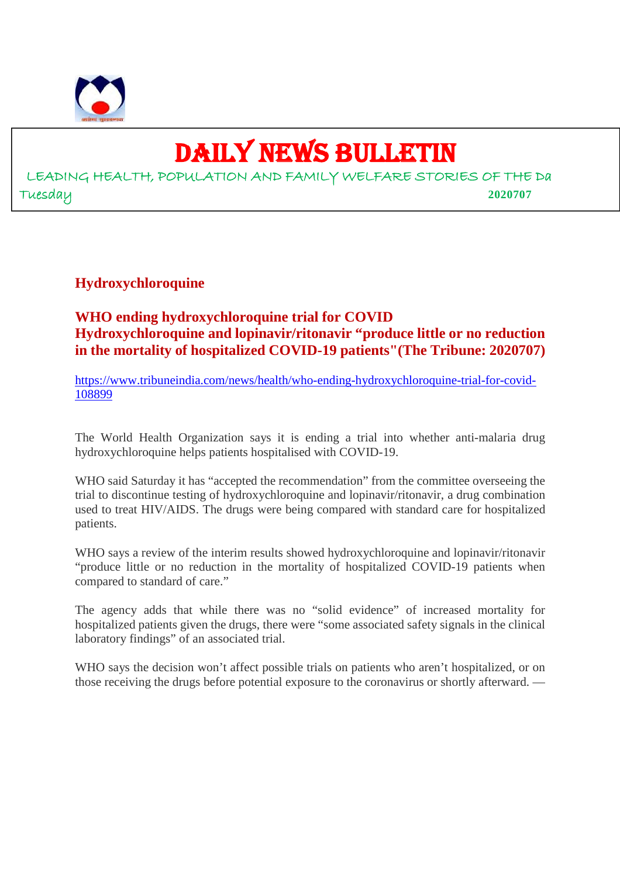

# DAILY NEWS BULLETIN

LEADING HEALTH, POPULATION AND FAMILY WELFARE STORIES OF THE Da Tuesday **2020707**

**Hydroxychloroquine**

**WHO ending hydroxychloroquine trial for COVID Hydroxychloroquine and lopinavir/ritonavir "produce little or no reduction in the mortality of hospitalized COVID-19 patients"(The Tribune: 2020707)**

https://www.tribuneindia.com/news/health/who-ending-hydroxychloroquine-trial-for-covid-108899

The World Health Organization says it is ending a trial into whether anti-malaria drug hydroxychloroquine helps patients hospitalised with COVID-19.

WHO said Saturday it has "accepted the recommendation" from the committee overseeing the trial to discontinue testing of hydroxychloroquine and lopinavir/ritonavir, a drug combination used to treat HIV/AIDS. The drugs were being compared with standard care for hospitalized patients.

WHO says a review of the interim results showed hydroxychloroquine and lopinavir/ritonavir "produce little or no reduction in the mortality of hospitalized COVID-19 patients when compared to standard of care."

The agency adds that while there was no "solid evidence" of increased mortality for hospitalized patients given the drugs, there were "some associated safety signals in the clinical laboratory findings" of an associated trial.

WHO says the decision won't affect possible trials on patients who aren't hospitalized, or on those receiving the drugs before potential exposure to the coronavirus or shortly afterward. —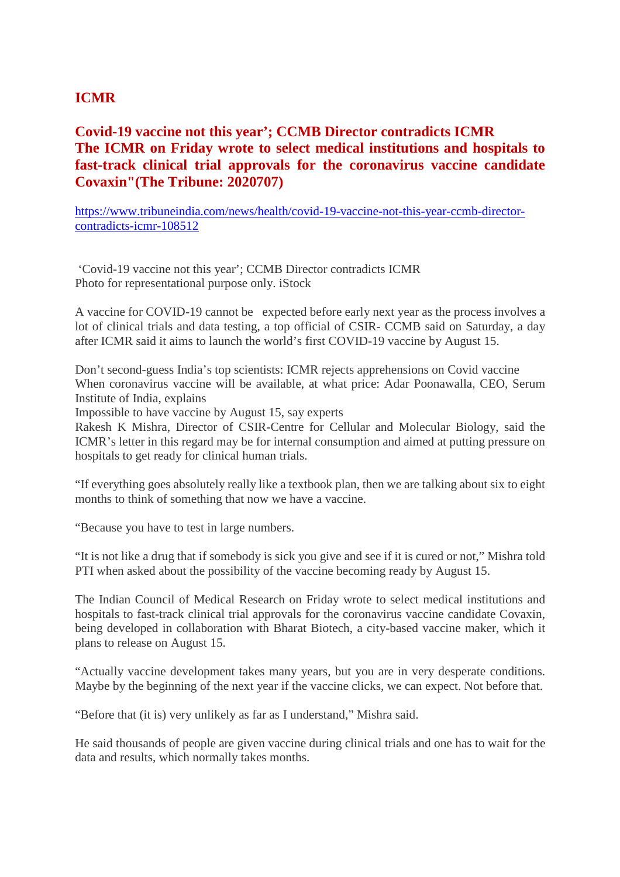### **ICMR**

#### **Covid-19 vaccine not this year'; CCMB Director contradicts ICMR The ICMR on Friday wrote to select medical institutions and hospitals to fast-track clinical trial approvals for the coronavirus vaccine candidate Covaxin"(The Tribune: 2020707)**

https://www.tribuneindia.com/news/health/covid-19-vaccine-not-this-year-ccmb-directorcontradicts-icmr-108512

'Covid-19 vaccine not this year'; CCMB Director contradicts ICMR Photo for representational purpose only. iStock

A vaccine for COVID-19 cannot be expected before early next year as the process involves a lot of clinical trials and data testing, a top official of CSIR- CCMB said on Saturday, a day after ICMR said it aims to launch the world's first COVID-19 vaccine by August 15.

Don't second-guess India's top scientists: ICMR rejects apprehensions on Covid vaccine When coronavirus vaccine will be available, at what price: Adar Poonawalla, CEO, Serum Institute of India, explains

Impossible to have vaccine by August 15, say experts

Rakesh K Mishra, Director of CSIR-Centre for Cellular and Molecular Biology, said the ICMR's letter in this regard may be for internal consumption and aimed at putting pressure on hospitals to get ready for clinical human trials.

"If everything goes absolutely really like a textbook plan, then we are talking about six to eight months to think of something that now we have a vaccine.

"Because you have to test in large numbers.

"It is not like a drug that if somebody is sick you give and see if it is cured or not," Mishra told PTI when asked about the possibility of the vaccine becoming ready by August 15.

The Indian Council of Medical Research on Friday wrote to select medical institutions and hospitals to fast-track clinical trial approvals for the coronavirus vaccine candidate Covaxin, being developed in collaboration with Bharat Biotech, a city-based vaccine maker, which it plans to release on August 15.

"Actually vaccine development takes many years, but you are in very desperate conditions. Maybe by the beginning of the next year if the vaccine clicks, we can expect. Not before that.

"Before that (it is) very unlikely as far as I understand," Mishra said.

He said thousands of people are given vaccine during clinical trials and one has to wait for the data and results, which normally takes months.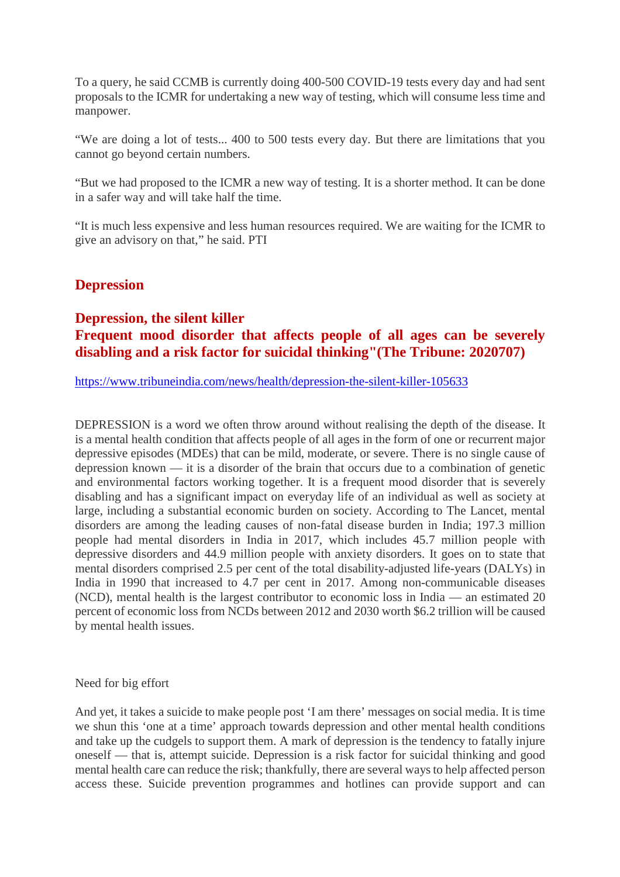To a query, he said CCMB is currently doing 400-500 COVID-19 tests every day and had sent proposals to the ICMR for undertaking a new way of testing, which will consume less time and manpower.

"We are doing a lot of tests... 400 to 500 tests every day. But there are limitations that you cannot go beyond certain numbers.

"But we had proposed to the ICMR a new way of testing. It is a shorter method. It can be done in a safer way and will take half the time.

"It is much less expensive and less human resources required. We are waiting for the ICMR to give an advisory on that," he said. PTI

#### **Depression**

#### **Depression, the silent killer Frequent mood disorder that affects people of all ages can be severely disabling and a risk factor for suicidal thinking"(The Tribune: 2020707)**

https://www.tribuneindia.com/news/health/depression-the-silent-killer-105633

DEPRESSION is a word we often throw around without realising the depth of the disease. It is a mental health condition that affects people of all ages in the form of one or recurrent major depressive episodes (MDEs) that can be mild, moderate, or severe. There is no single cause of depression known — it is a disorder of the brain that occurs due to a combination of genetic and environmental factors working together. It is a frequent mood disorder that is severely disabling and has a significant impact on everyday life of an individual as well as society at large, including a substantial economic burden on society. According to The Lancet, mental disorders are among the leading causes of non-fatal disease burden in India; 197.3 million people had mental disorders in India in 2017, which includes 45.7 million people with depressive disorders and 44.9 million people with anxiety disorders. It goes on to state that mental disorders comprised 2.5 per cent of the total disability-adjusted life-years (DALYs) in India in 1990 that increased to 4.7 per cent in 2017. Among non-communicable diseases (NCD), mental health is the largest contributor to economic loss in India — an estimated 20 percent of economic loss from NCDs between 2012 and 2030 worth \$6.2 trillion will be caused by mental health issues.

Need for big effort

And yet, it takes a suicide to make people post 'I am there' messages on social media. It is time we shun this 'one at a time' approach towards depression and other mental health conditions and take up the cudgels to support them. A mark of depression is the tendency to fatally injure oneself — that is, attempt suicide. Depression is a risk factor for suicidal thinking and good mental health care can reduce the risk; thankfully, there are several ways to help affected person access these. Suicide prevention programmes and hotlines can provide support and can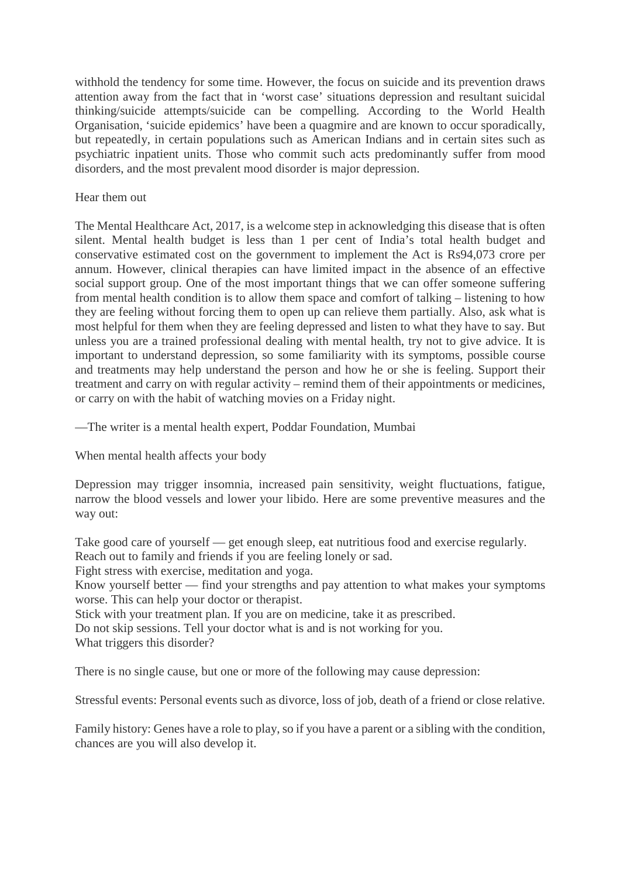withhold the tendency for some time. However, the focus on suicide and its prevention draws attention away from the fact that in 'worst case' situations depression and resultant suicidal thinking/suicide attempts/suicide can be compelling. According to the World Health Organisation, 'suicide epidemics' have been a quagmire and are known to occur sporadically, but repeatedly, in certain populations such as American Indians and in certain sites such as psychiatric inpatient units. Those who commit such acts predominantly suffer from mood disorders, and the most prevalent mood disorder is major depression.

#### Hear them out

The Mental Healthcare Act, 2017, is a welcome step in acknowledging this disease that is often silent. Mental health budget is less than 1 per cent of India's total health budget and conservative estimated cost on the government to implement the Act is Rs94,073 crore per annum. However, clinical therapies can have limited impact in the absence of an effective social support group. One of the most important things that we can offer someone suffering from mental health condition is to allow them space and comfort of talking – listening to how they are feeling without forcing them to open up can relieve them partially. Also, ask what is most helpful for them when they are feeling depressed and listen to what they have to say. But unless you are a trained professional dealing with mental health, try not to give advice. It is important to understand depression, so some familiarity with its symptoms, possible course and treatments may help understand the person and how he or she is feeling. Support their treatment and carry on with regular activity – remind them of their appointments or medicines, or carry on with the habit of watching movies on a Friday night.

—The writer is a mental health expert, Poddar Foundation, Mumbai

When mental health affects your body

Depression may trigger insomnia, increased pain sensitivity, weight fluctuations, fatigue, narrow the blood vessels and lower your libido. Here are some preventive measures and the way out:

Take good care of yourself — get enough sleep, eat nutritious food and exercise regularly. Reach out to family and friends if you are feeling lonely or sad.

Fight stress with exercise, meditation and yoga.

Know yourself better — find your strengths and pay attention to what makes your symptoms worse. This can help your doctor or therapist.

Stick with your treatment plan. If you are on medicine, take it as prescribed.

Do not skip sessions. Tell your doctor what is and is not working for you.

What triggers this disorder?

There is no single cause, but one or more of the following may cause depression:

Stressful events: Personal events such as divorce, loss of job, death of a friend or close relative.

Family history: Genes have a role to play, so if you have a parent or a sibling with the condition, chances are you will also develop it.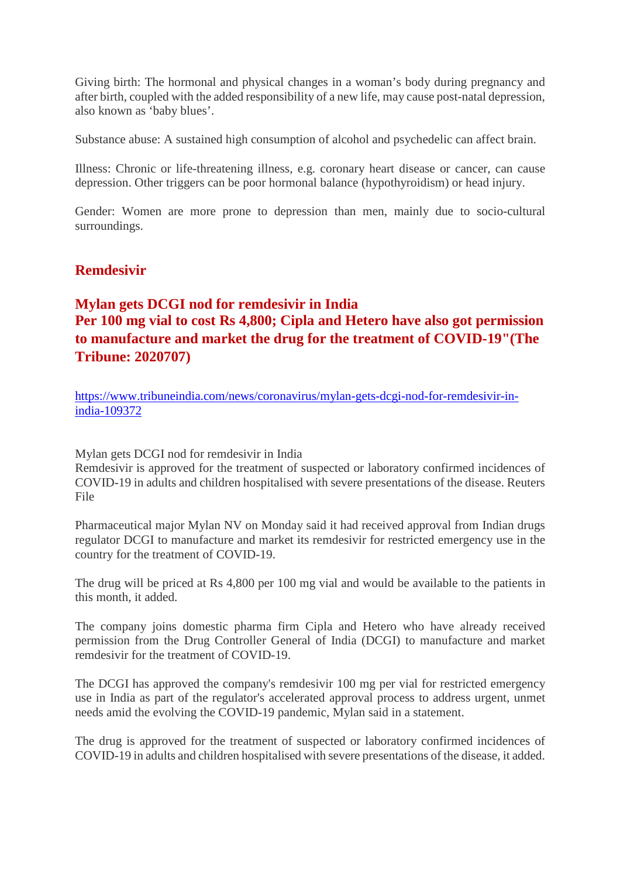Giving birth: The hormonal and physical changes in a woman's body during pregnancy and after birth, coupled with the added responsibility of a new life, may cause post-natal depression, also known as 'baby blues'.

Substance abuse: A sustained high consumption of alcohol and psychedelic can affect brain.

Illness: Chronic or life-threatening illness, e.g. coronary heart disease or cancer, can cause depression. Other triggers can be poor hormonal balance (hypothyroidism) or head injury.

Gender: Women are more prone to depression than men, mainly due to socio-cultural surroundings.

#### **Remdesivir**

## **Mylan gets DCGI nod for remdesivir in India Per 100 mg vial to cost Rs 4,800; Cipla and Hetero have also got permission to manufacture and market the drug for the treatment of COVID-19"(The Tribune: 2020707)**

https://www.tribuneindia.com/news/coronavirus/mylan-gets-dcgi-nod-for-remdesivir-inindia-109372

Mylan gets DCGI nod for remdesivir in India

Remdesivir is approved for the treatment of suspected or laboratory confirmed incidences of COVID-19 in adults and children hospitalised with severe presentations of the disease. Reuters File

Pharmaceutical major Mylan NV on Monday said it had received approval from Indian drugs regulator DCGI to manufacture and market its remdesivir for restricted emergency use in the country for the treatment of COVID-19.

The drug will be priced at Rs 4,800 per 100 mg vial and would be available to the patients in this month, it added.

The company joins domestic pharma firm Cipla and Hetero who have already received permission from the Drug Controller General of India (DCGI) to manufacture and market remdesivir for the treatment of COVID-19.

The DCGI has approved the company's remdesivir 100 mg per vial for restricted emergency use in India as part of the regulator's accelerated approval process to address urgent, unmet needs amid the evolving the COVID-19 pandemic, Mylan said in a statement.

The drug is approved for the treatment of suspected or laboratory confirmed incidences of COVID-19 in adults and children hospitalised with severe presentations of the disease, it added.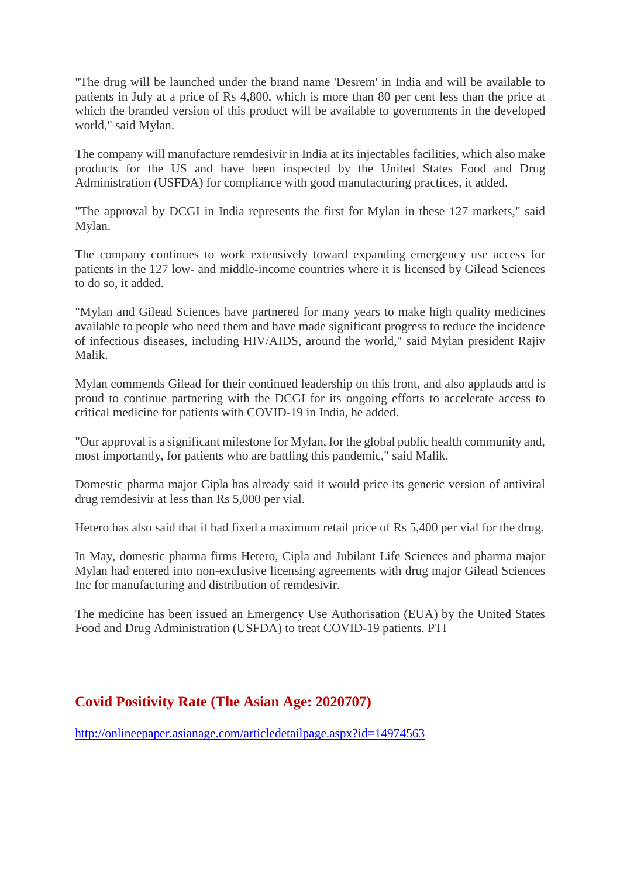"The drug will be launched under the brand name 'Desrem' in India and will be available to patients in July at a price of Rs 4,800, which is more than 80 per cent less than the price at which the branded version of this product will be available to governments in the developed world," said Mylan.

The company will manufacture remdesivir in India at its injectables facilities, which also make products for the US and have been inspected by the United States Food and Drug Administration (USFDA) for compliance with good manufacturing practices, it added.

"The approval by DCGI in India represents the first for Mylan in these 127 markets," said Mylan.

The company continues to work extensively toward expanding emergency use access for patients in the 127 low- and middle-income countries where it is licensed by Gilead Sciences to do so, it added.

"Mylan and Gilead Sciences have partnered for many years to make high quality medicines available to people who need them and have made significant progress to reduce the incidence of infectious diseases, including HIV/AIDS, around the world," said Mylan president Rajiv Malik.

Mylan commends Gilead for their continued leadership on this front, and also applauds and is proud to continue partnering with the DCGI for its ongoing efforts to accelerate access to critical medicine for patients with COVID-19 in India, he added.

"Our approval is a significant milestone for Mylan, for the global public health community and, most importantly, for patients who are battling this pandemic," said Malik.

Domestic pharma major Cipla has already said it would price its generic version of antiviral drug remdesivir at less than Rs 5,000 per vial.

Hetero has also said that it had fixed a maximum retail price of Rs 5,400 per vial for the drug.

In May, domestic pharma firms Hetero, Cipla and Jubilant Life Sciences and pharma major Mylan had entered into non-exclusive licensing agreements with drug major Gilead Sciences Inc for manufacturing and distribution of remdesivir.

The medicine has been issued an Emergency Use Authorisation (EUA) by the United States Food and Drug Administration (USFDA) to treat COVID-19 patients. PTI

#### **Covid Positivity Rate (The Asian Age: 2020707)**

http://onlineepaper.asianage.com/articledetailpage.aspx?id=14974563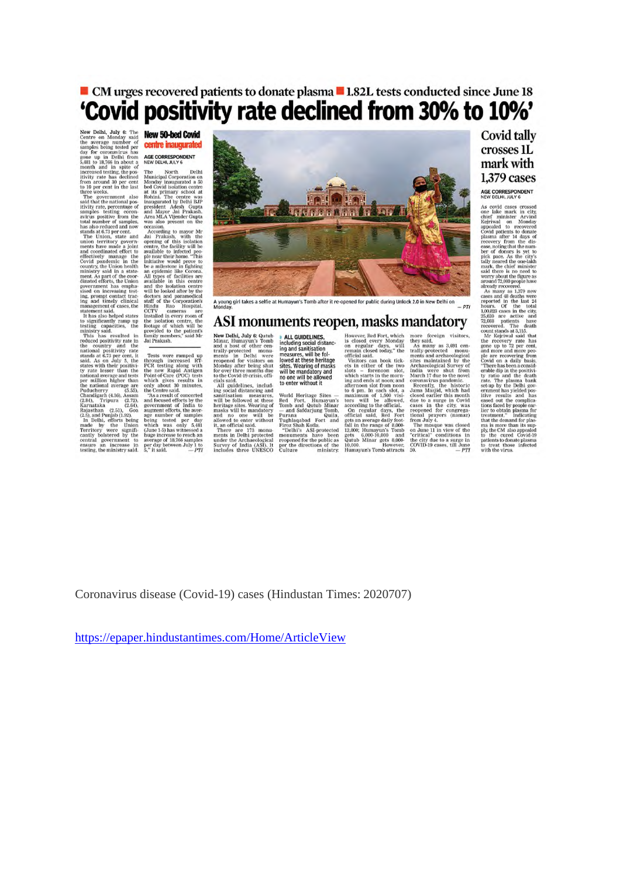## ■ CM urges recovered patients to donate plasma ■ 1.82L tests conducted since June 18 'Covid positivity rate declined from 30% to 10%'

New Delhi, July 6: The **New 50-hed Covid**<br>Centre on Monday said the average number of **Centre incated**<br>the average number of **Centre incated particle in the average number of day** for coronavirus has<br>day for coronavirus h New Dentisian Morth Delhi<br>
The Morth Delhi<br>
Municipal Corporation and<br>
Municipal Corporation and<br>
Municipal Corporation and<br>
Municipal Corporation<br>
In Reference<br>
Resident Adesia<br>
Runaward div Delhi Esp<br>
president Adesia<br>
A

it<br>viviy rale has decimed Municipal Corporation on the coupling from a<br>round 30 per cent Monday inaugurated a 50 to 10 per cent in the last be<br>d Covid isolation centre through three weeks. The government also rechain<br>the



A young girl takes a selfie at Humayun's Tomb after it re-opened for public during Unlock 2.0 in New Delhi on  $P = PT$ 

#### ASI monuments reopen, masks mandatory

**ASSI MONUMIPENTS PEOP**<br>
New Delhi, July & Qutub  $\bullet$  ALL GUIDELINES,<br>
Minar, Humayun's Tomb including social distance<br>
and a host of other cem-<br>
ing and sanitisation<br>
ranaly a host of other cem-<br>
ing and sanitisation<br>
re

**CII, ITIRISKS II**<br>However, Red Fort, which<br>is closed every Monday."<br>on regular days, will remain closed every Monday."<br>framework of the state of the state of the state of the state of the which states in the mondant<br>maxim

**ITELEVICITY**<br>
more foreign visitors,<br>
they said.<br>
they said.<br>
remains and archaeological<br>
remains and archaeological<br>
remains and archaeological<br>
hey said monumistics maintained by the<br>
hey of the remains of the more<br>
he

#### **Covid tally** crosses 1L mark with 1.379 cases

#### **AGE CORRESPONDENT**<br>NEW DELHI, JULY 6

As covid cases crossed on<br>the mark in city, consider and the mark in experiment in the angular<br>different minister Arvind Kepirsul on Ronaulton appealed to recovered<br>phose and the manifer and appealed to recovered photon a that the demand for plass<br>ma is more than its sup-<br>ply, the CM also appealed<br>to the cured Covid-19<br>patients to donate plasma<br>to treat those infected<br>with the virus.

Coronavirus disease (Covid-19) cases (Hindustan Times: 2020707)

https://epaper.hindustantimes.com/Home/ArticleView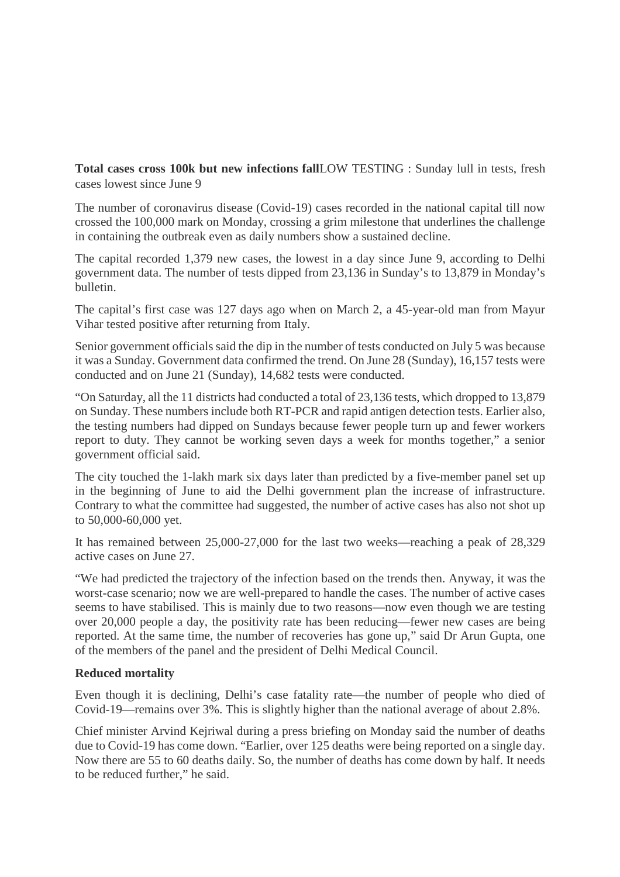**Total cases cross 100k but new infections fallLOW TESTING : Sunday lull in tests, fresh** cases lowest since June 9

The number of coronavirus disease (Covid-19) cases recorded in the national capital till now crossed the 100,000 mark on Monday, crossing a grim milestone that underlines the challenge in containing the outbreak even as daily numbers show a sustained decline.

The capital recorded 1,379 new cases, the lowest in a day since June 9, according to Delhi government data. The number of tests dipped from 23,136 in Sunday's to 13,879 in Monday's bulletin.

The capital's first case was 127 days ago when on March 2, a 45-year-old man from Mayur Vihar tested positive after returning from Italy.

Senior government officials said the dip in the number of tests conducted on July 5 was because it was a Sunday. Government data confirmed the trend. On June 28 (Sunday), 16,157 tests were conducted and on June 21 (Sunday), 14,682 tests were conducted.

"On Saturday, all the 11 districts had conducted a total of 23,136 tests, which dropped to 13,879 on Sunday. These numbers include both RT-PCR and rapid antigen detection tests. Earlier also, the testing numbers had dipped on Sundays because fewer people turn up and fewer workers report to duty. They cannot be working seven days a week for months together," a senior government official said.

The city touched the 1-lakh mark six days later than predicted by a five-member panel set up in the beginning of June to aid the Delhi government plan the increase of infrastructure. Contrary to what the committee had suggested, the number of active cases has also not shot up to 50,000-60,000 yet.

It has remained between 25,000-27,000 for the last two weeks—reaching a peak of 28,329 active cases on June 27.

"We had predicted the trajectory of the infection based on the trends then. Anyway, it was the worst-case scenario; now we are well-prepared to handle the cases. The number of active cases seems to have stabilised. This is mainly due to two reasons—now even though we are testing over 20,000 people a day, the positivity rate has been reducing—fewer new cases are being reported. At the same time, the number of recoveries has gone up," said Dr Arun Gupta, one of the members of the panel and the president of Delhi Medical Council.

#### **Reduced mortality**

Even though it is declining, Delhi's case fatality rate—the number of people who died of Covid-19—remains over 3%. This is slightly higher than the national average of about 2.8%.

Chief minister Arvind Kejriwal during a press briefing on Monday said the number of deaths due to Covid-19 has come down. "Earlier, over 125 deaths were being reported on a single day. Now there are 55 to 60 deaths daily. So, the number of deaths has come down by half. It needs to be reduced further," he said.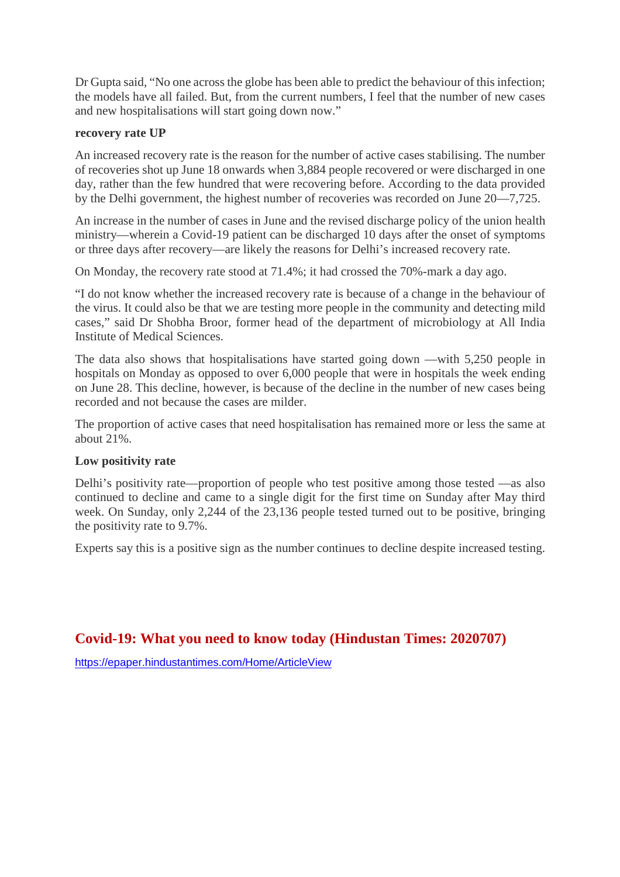Dr Gupta said, "No one across the globe has been able to predict the behaviour of this infection; the models have all failed. But, from the current numbers, I feel that the number of new cases and new hospitalisations will start going down now."

#### **recovery rate UP**

An increased recovery rate is the reason for the number of active cases stabilising. The number of recoveries shot up June 18 onwards when 3,884 people recovered or were discharged in one day, rather than the few hundred that were recovering before. According to the data provided by the Delhi government, the highest number of recoveries was recorded on June 20—7,725.

An increase in the number of cases in June and the revised discharge policy of the union health ministry—wherein a Covid-19 patient can be discharged 10 days after the onset of symptoms or three days after recovery—are likely the reasons for Delhi's increased recovery rate.

On Monday, the recovery rate stood at 71.4%; it had crossed the 70%-mark a day ago.

"I do not know whether the increased recovery rate is because of a change in the behaviour of the virus. It could also be that we are testing more people in the community and detecting mild cases," said Dr Shobha Broor, former head of the department of microbiology at All India Institute of Medical Sciences.

The data also shows that hospitalisations have started going down —with 5,250 people in hospitals on Monday as opposed to over 6,000 people that were in hospitals the week ending on June 28. This decline, however, is because of the decline in the number of new cases being recorded and not because the cases are milder.

The proportion of active cases that need hospitalisation has remained more or less the same at about 21%.

#### **Low positivity rate**

Delhi's positivity rate—proportion of people who test positive among those tested —as also continued to decline and came to a single digit for the first time on Sunday after May third week. On Sunday, only 2,244 of the 23,136 people tested turned out to be positive, bringing the positivity rate to 9.7%.

Experts say this is a positive sign as the number continues to decline despite increased testing.

#### **Covid-19: What you need to know today (Hindustan Times: 2020707)**

https://epaper.hindustantimes.com/Home/ArticleView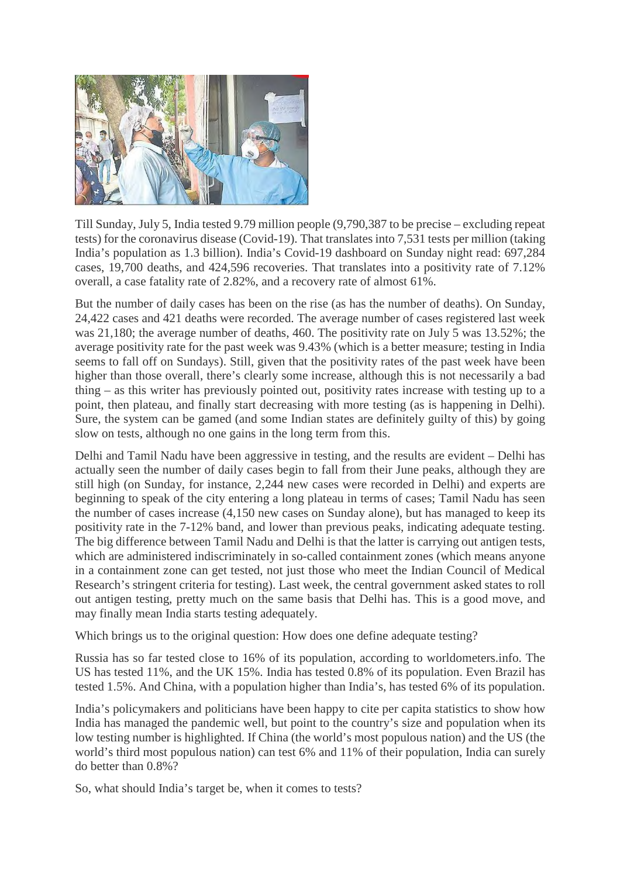

Till Sunday, July 5, India tested 9.79 million people (9,790,387 to be precise – excluding repeat tests) for the coronavirus disease (Covid-19). That translates into 7,531 tests per million (taking India's population as 1.3 billion). India's Covid-19 dashboard on Sunday night read: 697,284 cases, 19,700 deaths, and 424,596 recoveries. That translates into a positivity rate of 7.12% overall, a case fatality rate of 2.82%, and a recovery rate of almost 61%.

But the number of daily cases has been on the rise (as has the number of deaths). On Sunday, 24,422 cases and 421 deaths were recorded. The average number of cases registered last week was 21,180; the average number of deaths, 460. The positivity rate on July 5 was 13.52%; the average positivity rate for the past week was 9.43% (which is a better measure; testing in India seems to fall off on Sundays). Still, given that the positivity rates of the past week have been higher than those overall, there's clearly some increase, although this is not necessarily a bad thing – as this writer has previously pointed out, positivity rates increase with testing up to a point, then plateau, and finally start decreasing with more testing (as is happening in Delhi). Sure, the system can be gamed (and some Indian states are definitely guilty of this) by going slow on tests, although no one gains in the long term from this.

Delhi and Tamil Nadu have been aggressive in testing, and the results are evident – Delhi has actually seen the number of daily cases begin to fall from their June peaks, although they are still high (on Sunday, for instance, 2,244 new cases were recorded in Delhi) and experts are beginning to speak of the city entering a long plateau in terms of cases; Tamil Nadu has seen the number of cases increase (4,150 new cases on Sunday alone), but has managed to keep its positivity rate in the 7-12% band, and lower than previous peaks, indicating adequate testing. The big difference between Tamil Nadu and Delhi is that the latter is carrying out antigen tests, which are administered indiscriminately in so-called containment zones (which means anyone in a containment zone can get tested, not just those who meet the Indian Council of Medical Research's stringent criteria for testing). Last week, the central government asked states to roll out antigen testing, pretty much on the same basis that Delhi has. This is a good move, and may finally mean India starts testing adequately.

Which brings us to the original question: How does one define adequate testing?

Russia has so far tested close to 16% of its population, according to worldometers.info. The US has tested 11%, and the UK 15%. India has tested 0.8% of its population. Even Brazil has tested 1.5%. And China, with a population higher than India's, has tested 6% of its population.

India's policymakers and politicians have been happy to cite per capita statistics to show how India has managed the pandemic well, but point to the country's size and population when its low testing number is highlighted. If China (the world's most populous nation) and the US (the world's third most populous nation) can test 6% and 11% of their population, India can surely do better than 0.8%?

So, what should India's target be, when it comes to tests?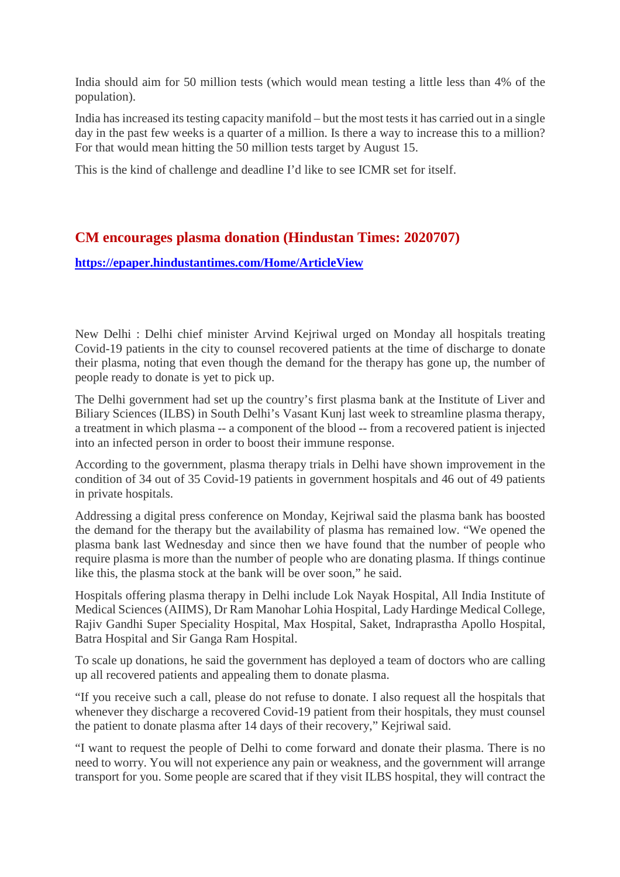India should aim for 50 million tests (which would mean testing a little less than 4% of the population).

India has increased its testing capacity manifold – but the most tests it has carried out in a single day in the past few weeks is a quarter of a million. Is there a way to increase this to a million? For that would mean hitting the 50 million tests target by August 15.

This is the kind of challenge and deadline I'd like to see ICMR set for itself.

#### **CM encourages plasma donation (Hindustan Times: 2020707)**

#### **https://epaper.hindustantimes.com/Home/ArticleView**

New Delhi : Delhi chief minister Arvind Kejriwal urged on Monday all hospitals treating Covid-19 patients in the city to counsel recovered patients at the time of discharge to donate their plasma, noting that even though the demand for the therapy has gone up, the number of people ready to donate is yet to pick up.

The Delhi government had set up the country's first plasma bank at the Institute of Liver and Biliary Sciences (ILBS) in South Delhi's Vasant Kunj last week to streamline plasma therapy, a treatment in which plasma -- a component of the blood -- from a recovered patient is injected into an infected person in order to boost their immune response.

According to the government, plasma therapy trials in Delhi have shown improvement in the condition of 34 out of 35 Covid-19 patients in government hospitals and 46 out of 49 patients in private hospitals.

Addressing a digital press conference on Monday, Kejriwal said the plasma bank has boosted the demand for the therapy but the availability of plasma has remained low. "We opened the plasma bank last Wednesday and since then we have found that the number of people who require plasma is more than the number of people who are donating plasma. If things continue like this, the plasma stock at the bank will be over soon," he said.

Hospitals offering plasma therapy in Delhi include Lok Nayak Hospital, All India Institute of Medical Sciences (AIIMS), Dr Ram Manohar Lohia Hospital, Lady Hardinge Medical College, Rajiv Gandhi Super Speciality Hospital, Max Hospital, Saket, Indraprastha Apollo Hospital, Batra Hospital and Sir Ganga Ram Hospital.

To scale up donations, he said the government has deployed a team of doctors who are calling up all recovered patients and appealing them to donate plasma.

"If you receive such a call, please do not refuse to donate. I also request all the hospitals that whenever they discharge a recovered Covid-19 patient from their hospitals, they must counsel the patient to donate plasma after 14 days of their recovery," Kejriwal said.

"I want to request the people of Delhi to come forward and donate their plasma. There is no need to worry. You will not experience any pain or weakness, and the government will arrange transport for you. Some people are scared that if they visit ILBS hospital, they will contract the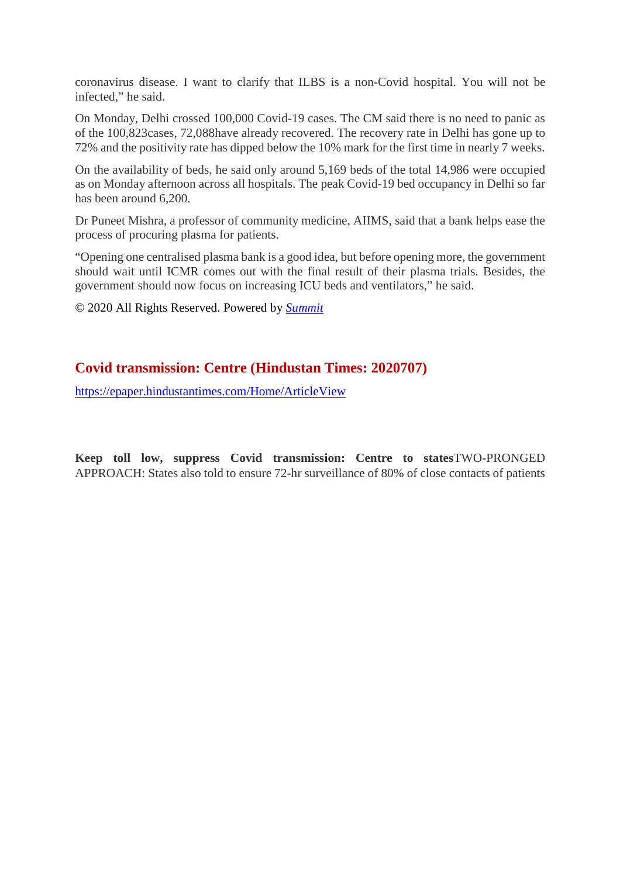coronavirus disease. I want to clarify that ILBS is a non-Covid hospital. You will not be infected," he said.

On Monday, Delhi crossed 100,000 Covid-19 cases. The CM said there is no need to panic as of the 100,823cases, 72,088have already recovered. The recovery rate in Delhi has gone up to 72% and the positivity rate has dipped below the 10% mark for the first time in nearly 7 weeks.

On the availability of beds, he said only around 5,169 beds of the total 14,986 were occupied as on Monday afternoon across all hospitals. The peak Covid-19 bed occupancy in Delhi so far has been around 6,200.

Dr Puneet Mishra, a professor of community medicine, AIIMS, said that a bank helps ease the process of procuring plasma for patients.

"Opening one centralised plasma bank is a good idea, but before opening more, the government should wait until ICMR comes out with the final result of their plasma trials. Besides, the government should now focus on increasing ICU beds and ventilators," he said.

© 2020 All Rights Reserved. Powered by *Summit*

#### **Covid transmission: Centre (Hindustan Times: 2020707)**

https://epaper.hindustantimes.com/Home/ArticleView

**Keep toll low, suppress Covid transmission: Centre to states**TWO-PRONGED APPROACH: States also told to ensure 72-hr surveillance of 80% of close contacts of patients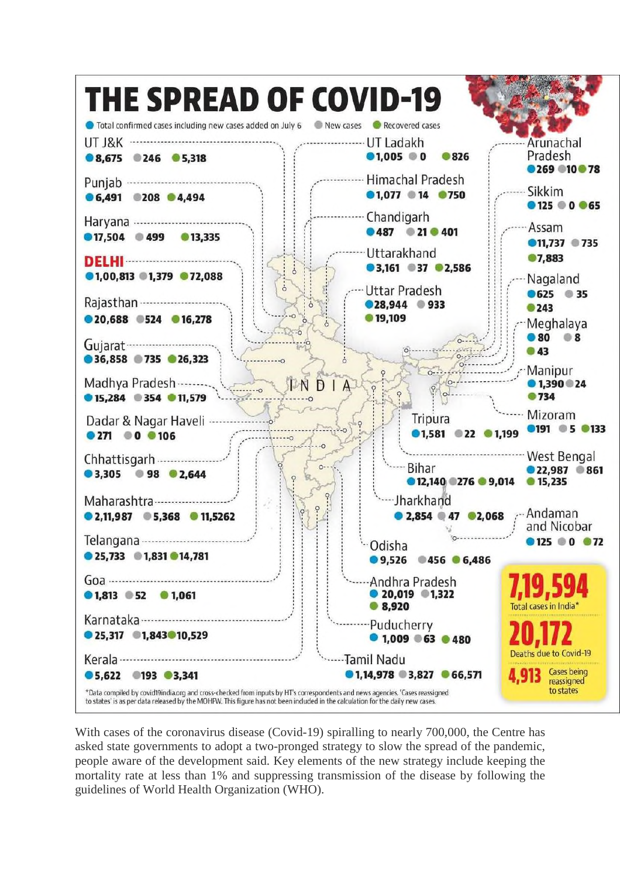

With cases of the coronavirus disease (Covid-19) spiralling to nearly 700,000, the Centre has asked state governments to adopt a two-pronged strategy to slow the spread of the pandemic, people aware of the development said. Key elements of the new strategy include keeping the mortality rate at less than 1% and suppressing transmission of the disease by following the guidelines of World Health Organization (WHO).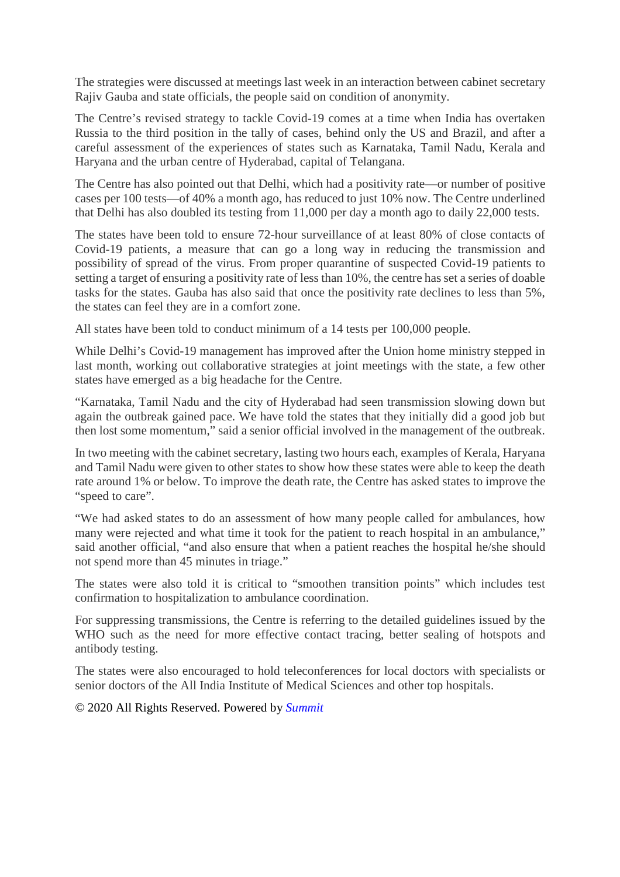The strategies were discussed at meetings last week in an interaction between cabinet secretary Rajiv Gauba and state officials, the people said on condition of anonymity.

The Centre's revised strategy to tackle Covid-19 comes at a time when India has overtaken Russia to the third position in the tally of cases, behind only the US and Brazil, and after a careful assessment of the experiences of states such as Karnataka, Tamil Nadu, Kerala and Haryana and the urban centre of Hyderabad, capital of Telangana.

The Centre has also pointed out that Delhi, which had a positivity rate—or number of positive cases per 100 tests—of 40% a month ago, has reduced to just 10% now. The Centre underlined that Delhi has also doubled its testing from 11,000 per day a month ago to daily 22,000 tests.

The states have been told to ensure 72-hour surveillance of at least 80% of close contacts of Covid-19 patients, a measure that can go a long way in reducing the transmission and possibility of spread of the virus. From proper quarantine of suspected Covid-19 patients to setting a target of ensuring a positivity rate of less than 10%, the centre has set a series of doable tasks for the states. Gauba has also said that once the positivity rate declines to less than 5%, the states can feel they are in a comfort zone.

All states have been told to conduct minimum of a 14 tests per 100,000 people.

While Delhi's Covid-19 management has improved after the Union home ministry stepped in last month, working out collaborative strategies at joint meetings with the state, a few other states have emerged as a big headache for the Centre.

"Karnataka, Tamil Nadu and the city of Hyderabad had seen transmission slowing down but again the outbreak gained pace. We have told the states that they initially did a good job but then lost some momentum," said a senior official involved in the management of the outbreak.

In two meeting with the cabinet secretary, lasting two hours each, examples of Kerala, Haryana and Tamil Nadu were given to other states to show how these states were able to keep the death rate around 1% or below. To improve the death rate, the Centre has asked states to improve the "speed to care".

"We had asked states to do an assessment of how many people called for ambulances, how many were rejected and what time it took for the patient to reach hospital in an ambulance," said another official, "and also ensure that when a patient reaches the hospital he/she should not spend more than 45 minutes in triage."

The states were also told it is critical to "smoothen transition points" which includes test confirmation to hospitalization to ambulance coordination.

For suppressing transmissions, the Centre is referring to the detailed guidelines issued by the WHO such as the need for more effective contact tracing, better sealing of hotspots and antibody testing.

The states were also encouraged to hold teleconferences for local doctors with specialists or senior doctors of the All India Institute of Medical Sciences and other top hospitals.

#### © 2020 All Rights Reserved. Powered by *Summit*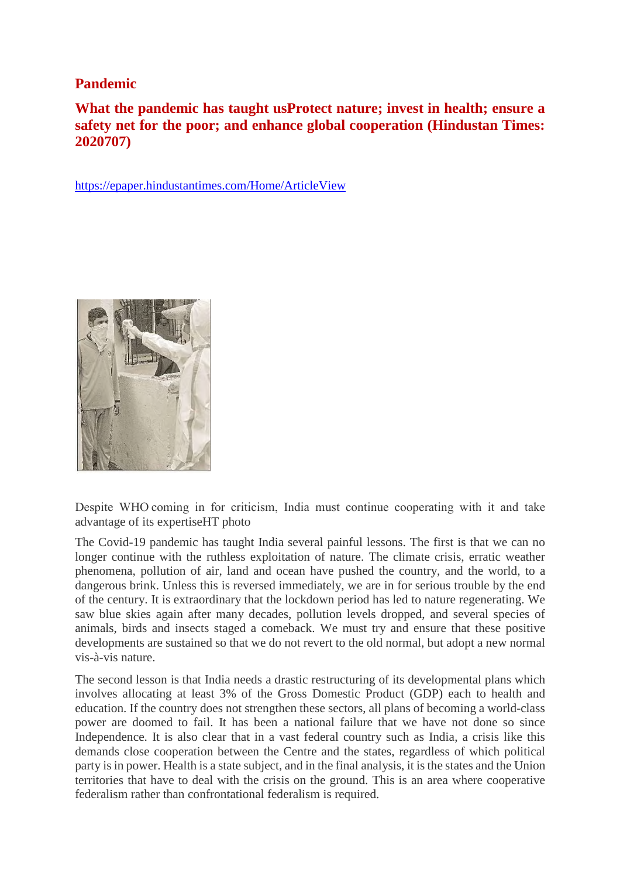#### **Pandemic**

### **What the pandemic has taught usProtect nature; invest in health; ensure a safety net for the poor; and enhance global cooperation (Hindustan Times: 2020707)**

https://epaper.hindustantimes.com/Home/ArticleView



Despite WHO coming in for criticism, India must continue cooperating with it and take advantage of its expertiseHT photo

The Covid-19 pandemic has taught India several painful lessons. The first is that we can no longer continue with the ruthless exploitation of nature. The climate crisis, erratic weather phenomena, pollution of air, land and ocean have pushed the country, and the world, to a dangerous brink. Unless this is reversed immediately, we are in for serious trouble by the end of the century. It is extraordinary that the lockdown period has led to nature regenerating. We saw blue skies again after many decades, pollution levels dropped, and several species of animals, birds and insects staged a comeback. We must try and ensure that these positive developments are sustained so that we do not revert to the old normal, but adopt a new normal vis-à-vis nature.

The second lesson is that India needs a drastic restructuring of its developmental plans which involves allocating at least 3% of the Gross Domestic Product (GDP) each to health and education. If the country does not strengthen these sectors, all plans of becoming a world-class power are doomed to fail. It has been a national failure that we have not done so since Independence. It is also clear that in a vast federal country such as India, a crisis like this demands close cooperation between the Centre and the states, regardless of which political party is in power. Health is a state subject, and in the final analysis, it is the states and the Union territories that have to deal with the crisis on the ground. This is an area where cooperative federalism rather than confrontational federalism is required.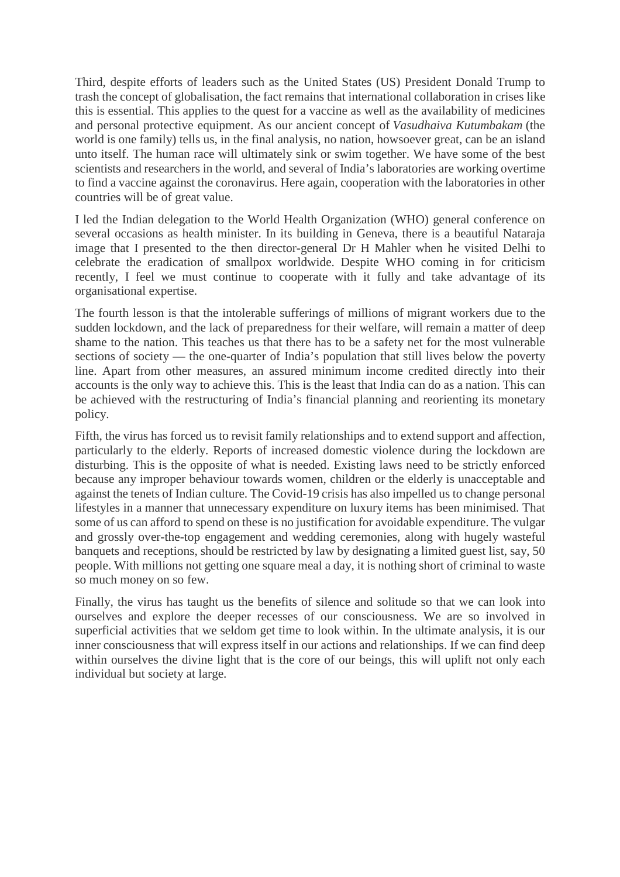Third, despite efforts of leaders such as the United States (US) President Donald Trump to trash the concept of globalisation, the fact remains that international collaboration in crises like this is essential. This applies to the quest for a vaccine as well as the availability of medicines and personal protective equipment. As our ancient concept of *Vasudhaiva Kutumbakam* (the world is one family) tells us, in the final analysis, no nation, howsoever great, can be an island unto itself. The human race will ultimately sink or swim together. We have some of the best scientists and researchers in the world, and several of India's laboratories are working overtime to find a vaccine against the coronavirus. Here again, cooperation with the laboratories in other countries will be of great value.

I led the Indian delegation to the World Health Organization (WHO) general conference on several occasions as health minister. In its building in Geneva, there is a beautiful Nataraja image that I presented to the then director-general Dr H Mahler when he visited Delhi to celebrate the eradication of smallpox worldwide. Despite WHO coming in for criticism recently, I feel we must continue to cooperate with it fully and take advantage of its organisational expertise.

The fourth lesson is that the intolerable sufferings of millions of migrant workers due to the sudden lockdown, and the lack of preparedness for their welfare, will remain a matter of deep shame to the nation. This teaches us that there has to be a safety net for the most vulnerable sections of society — the one-quarter of India's population that still lives below the poverty line. Apart from other measures, an assured minimum income credited directly into their accounts is the only way to achieve this. This is the least that India can do as a nation. This can be achieved with the restructuring of India's financial planning and reorienting its monetary policy.

Fifth, the virus has forced us to revisit family relationships and to extend support and affection, particularly to the elderly. Reports of increased domestic violence during the lockdown are disturbing. This is the opposite of what is needed. Existing laws need to be strictly enforced because any improper behaviour towards women, children or the elderly is unacceptable and against the tenets of Indian culture. The Covid-19 crisis has also impelled us to change personal lifestyles in a manner that unnecessary expenditure on luxury items has been minimised. That some of us can afford to spend on these is no justification for avoidable expenditure. The vulgar and grossly over-the-top engagement and wedding ceremonies, along with hugely wasteful banquets and receptions, should be restricted by law by designating a limited guest list, say, 50 people. With millions not getting one square meal a day, it is nothing short of criminal to waste so much money on so few.

Finally, the virus has taught us the benefits of silence and solitude so that we can look into ourselves and explore the deeper recesses of our consciousness. We are so involved in superficial activities that we seldom get time to look within. In the ultimate analysis, it is our inner consciousness that will express itself in our actions and relationships. If we can find deep within ourselves the divine light that is the core of our beings, this will uplift not only each individual but society at large.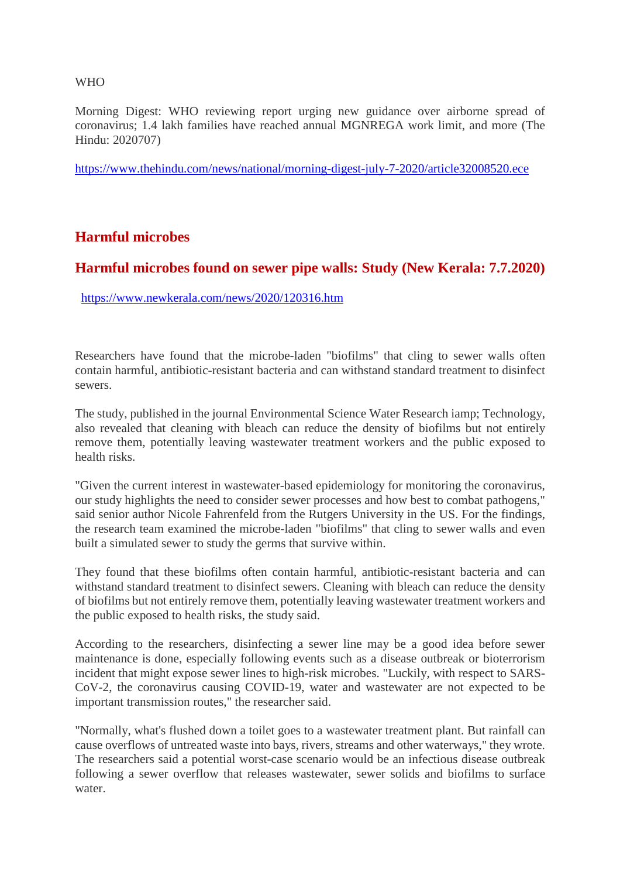#### WHO

Morning Digest: WHO reviewing report urging new guidance over airborne spread of coronavirus; 1.4 lakh families have reached annual MGNREGA work limit, and more (The Hindu: 2020707)

https://www.thehindu.com/news/national/morning-digest-july-7-2020/article32008520.ece

#### **Harmful microbes**

#### **Harmful microbes found on sewer pipe walls: Study (New Kerala: 7.7.2020)**

https://www.newkerala.com/news/2020/120316.htm

Researchers have found that the microbe-laden "biofilms" that cling to sewer walls often contain harmful, antibiotic-resistant bacteria and can withstand standard treatment to disinfect sewers.

The study, published in the journal Environmental Science Water Research iamp; Technology, also revealed that cleaning with bleach can reduce the density of biofilms but not entirely remove them, potentially leaving wastewater treatment workers and the public exposed to health risks.

"Given the current interest in wastewater-based epidemiology for monitoring the coronavirus, our study highlights the need to consider sewer processes and how best to combat pathogens," said senior author Nicole Fahrenfeld from the Rutgers University in the US. For the findings, the research team examined the microbe-laden "biofilms" that cling to sewer walls and even built a simulated sewer to study the germs that survive within.

They found that these biofilms often contain harmful, antibiotic-resistant bacteria and can withstand standard treatment to disinfect sewers. Cleaning with bleach can reduce the density of biofilms but not entirely remove them, potentially leaving wastewater treatment workers and the public exposed to health risks, the study said.

According to the researchers, disinfecting a sewer line may be a good idea before sewer maintenance is done, especially following events such as a disease outbreak or bioterrorism incident that might expose sewer lines to high-risk microbes. "Luckily, with respect to SARS-CoV-2, the coronavirus causing COVID-19, water and wastewater are not expected to be important transmission routes," the researcher said.

"Normally, what's flushed down a toilet goes to a wastewater treatment plant. But rainfall can cause overflows of untreated waste into bays, rivers, streams and other waterways," they wrote. The researchers said a potential worst-case scenario would be an infectious disease outbreak following a sewer overflow that releases wastewater, sewer solids and biofilms to surface water.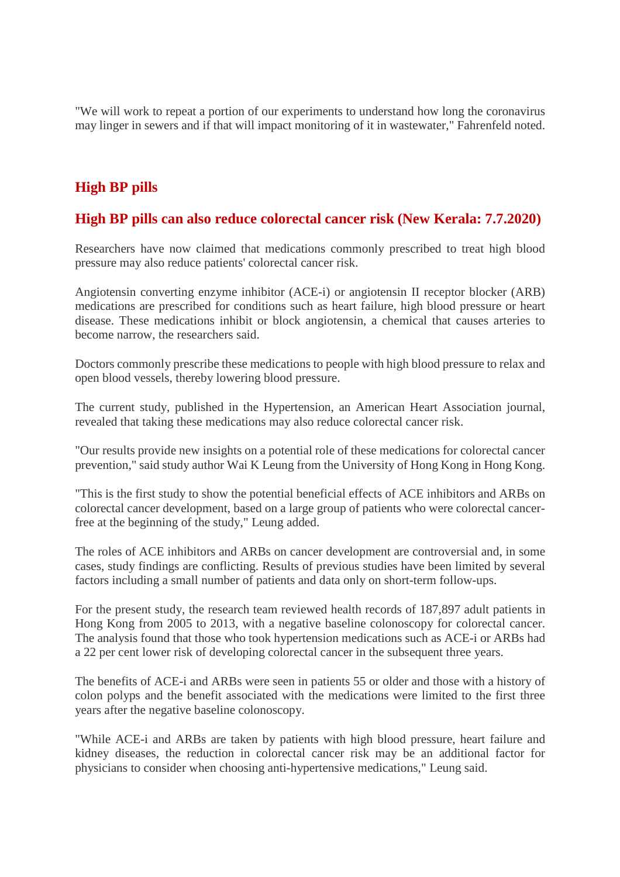"We will work to repeat a portion of our experiments to understand how long the coronavirus may linger in sewers and if that will impact monitoring of it in wastewater," Fahrenfeld noted.

### **High BP pills**

#### **High BP pills can also reduce colorectal cancer risk (New Kerala: 7.7.2020)**

Researchers have now claimed that medications commonly prescribed to treat high blood pressure may also reduce patients' colorectal cancer risk.

Angiotensin converting enzyme inhibitor (ACE-i) or angiotensin II receptor blocker (ARB) medications are prescribed for conditions such as heart failure, high blood pressure or heart disease. These medications inhibit or block angiotensin, a chemical that causes arteries to become narrow, the researchers said.

Doctors commonly prescribe these medications to people with high blood pressure to relax and open blood vessels, thereby lowering blood pressure.

The current study, published in the Hypertension, an American Heart Association journal, revealed that taking these medications may also reduce colorectal cancer risk.

"Our results provide new insights on a potential role of these medications for colorectal cancer prevention," said study author Wai K Leung from the University of Hong Kong in Hong Kong.

"This is the first study to show the potential beneficial effects of ACE inhibitors and ARBs on colorectal cancer development, based on a large group of patients who were colorectal cancerfree at the beginning of the study," Leung added.

The roles of ACE inhibitors and ARBs on cancer development are controversial and, in some cases, study findings are conflicting. Results of previous studies have been limited by several factors including a small number of patients and data only on short-term follow-ups.

For the present study, the research team reviewed health records of 187,897 adult patients in Hong Kong from 2005 to 2013, with a negative baseline colonoscopy for colorectal cancer. The analysis found that those who took hypertension medications such as ACE-i or ARBs had a 22 per cent lower risk of developing colorectal cancer in the subsequent three years.

The benefits of ACE-i and ARBs were seen in patients 55 or older and those with a history of colon polyps and the benefit associated with the medications were limited to the first three years after the negative baseline colonoscopy.

"While ACE-i and ARBs are taken by patients with high blood pressure, heart failure and kidney diseases, the reduction in colorectal cancer risk may be an additional factor for physicians to consider when choosing anti-hypertensive medications," Leung said.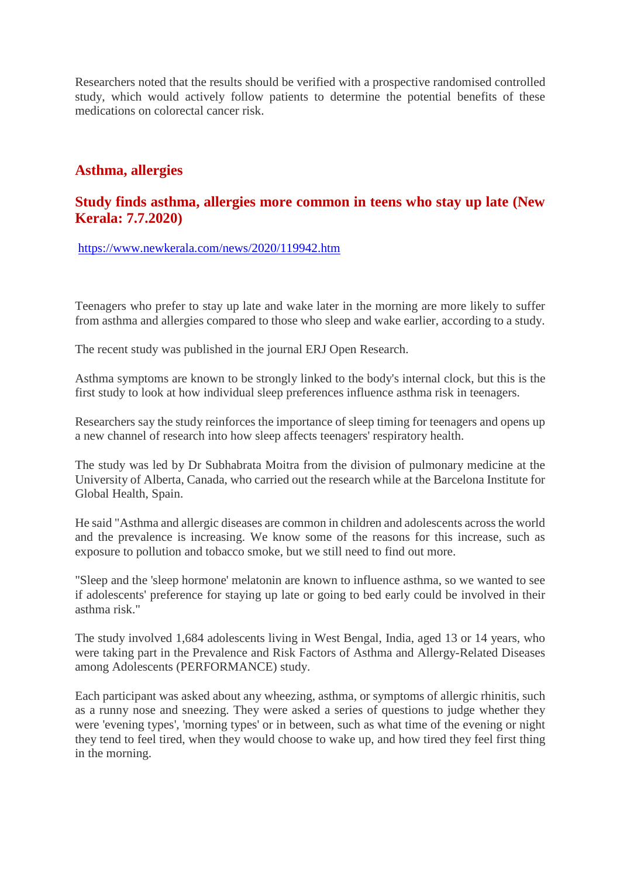Researchers noted that the results should be verified with a prospective randomised controlled study, which would actively follow patients to determine the potential benefits of these medications on colorectal cancer risk.

#### **Asthma, allergies**

#### **Study finds asthma, allergies more common in teens who stay up late (New Kerala: 7.7.2020)**

https://www.newkerala.com/news/2020/119942.htm

Teenagers who prefer to stay up late and wake later in the morning are more likely to suffer from asthma and allergies compared to those who sleep and wake earlier, according to a study.

The recent study was published in the journal ERJ Open Research.

Asthma symptoms are known to be strongly linked to the body's internal clock, but this is the first study to look at how individual sleep preferences influence asthma risk in teenagers.

Researchers say the study reinforces the importance of sleep timing for teenagers and opens up a new channel of research into how sleep affects teenagers' respiratory health.

The study was led by Dr Subhabrata Moitra from the division of pulmonary medicine at the University of Alberta, Canada, who carried out the research while at the Barcelona Institute for Global Health, Spain.

He said "Asthma and allergic diseases are common in children and adolescents across the world and the prevalence is increasing. We know some of the reasons for this increase, such as exposure to pollution and tobacco smoke, but we still need to find out more.

"Sleep and the 'sleep hormone' melatonin are known to influence asthma, so we wanted to see if adolescents' preference for staying up late or going to bed early could be involved in their asthma risk."

The study involved 1,684 adolescents living in West Bengal, India, aged 13 or 14 years, who were taking part in the Prevalence and Risk Factors of Asthma and Allergy-Related Diseases among Adolescents (PERFORMANCE) study.

Each participant was asked about any wheezing, asthma, or symptoms of allergic rhinitis, such as a runny nose and sneezing. They were asked a series of questions to judge whether they were 'evening types', 'morning types' or in between, such as what time of the evening or night they tend to feel tired, when they would choose to wake up, and how tired they feel first thing in the morning.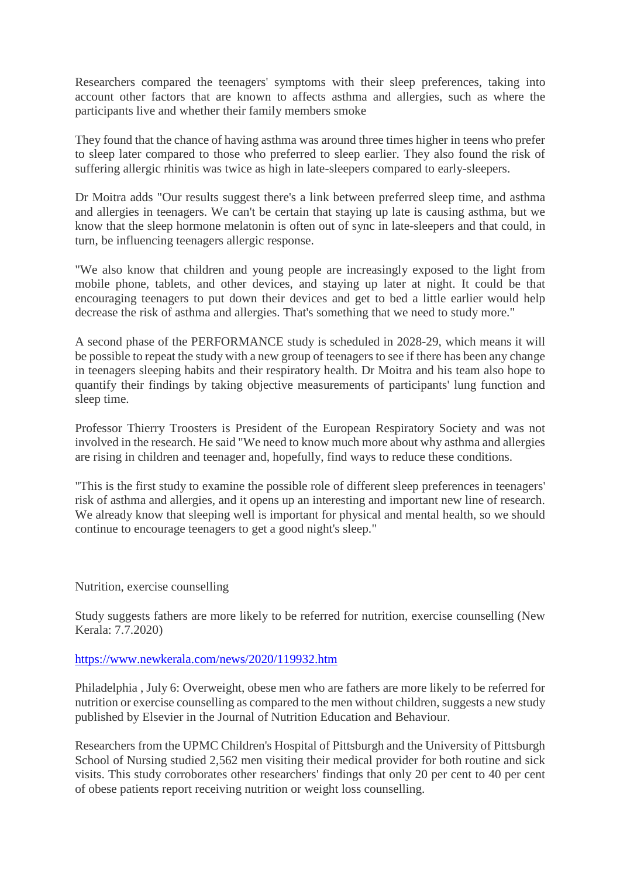Researchers compared the teenagers' symptoms with their sleep preferences, taking into account other factors that are known to affects asthma and allergies, such as where the participants live and whether their family members smoke

They found that the chance of having asthma was around three times higher in teens who prefer to sleep later compared to those who preferred to sleep earlier. They also found the risk of suffering allergic rhinitis was twice as high in late-sleepers compared to early-sleepers.

Dr Moitra adds "Our results suggest there's a link between preferred sleep time, and asthma and allergies in teenagers. We can't be certain that staying up late is causing asthma, but we know that the sleep hormone melatonin is often out of sync in late-sleepers and that could, in turn, be influencing teenagers allergic response.

"We also know that children and young people are increasingly exposed to the light from mobile phone, tablets, and other devices, and staying up later at night. It could be that encouraging teenagers to put down their devices and get to bed a little earlier would help decrease the risk of asthma and allergies. That's something that we need to study more."

A second phase of the PERFORMANCE study is scheduled in 2028-29, which means it will be possible to repeat the study with a new group of teenagers to see if there has been any change in teenagers sleeping habits and their respiratory health. Dr Moitra and his team also hope to quantify their findings by taking objective measurements of participants' lung function and sleep time.

Professor Thierry Troosters is President of the European Respiratory Society and was not involved in the research. He said "We need to know much more about why asthma and allergies are rising in children and teenager and, hopefully, find ways to reduce these conditions.

"This is the first study to examine the possible role of different sleep preferences in teenagers' risk of asthma and allergies, and it opens up an interesting and important new line of research. We already know that sleeping well is important for physical and mental health, so we should continue to encourage teenagers to get a good night's sleep."

Nutrition, exercise counselling

Study suggests fathers are more likely to be referred for nutrition, exercise counselling (New Kerala: 7.7.2020)

#### https://www.newkerala.com/news/2020/119932.htm

Philadelphia , July 6: Overweight, obese men who are fathers are more likely to be referred for nutrition or exercise counselling as compared to the men without children, suggests a new study published by Elsevier in the Journal of Nutrition Education and Behaviour.

Researchers from the UPMC Children's Hospital of Pittsburgh and the University of Pittsburgh School of Nursing studied 2,562 men visiting their medical provider for both routine and sick visits. This study corroborates other researchers' findings that only 20 per cent to 40 per cent of obese patients report receiving nutrition or weight loss counselling.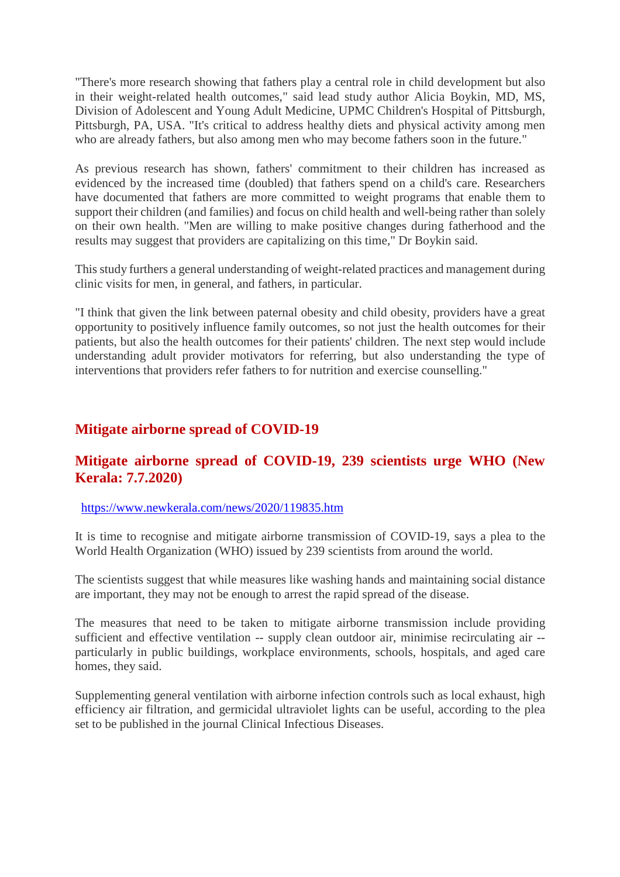"There's more research showing that fathers play a central role in child development but also in their weight-related health outcomes," said lead study author Alicia Boykin, MD, MS, Division of Adolescent and Young Adult Medicine, UPMC Children's Hospital of Pittsburgh, Pittsburgh, PA, USA. "It's critical to address healthy diets and physical activity among men who are already fathers, but also among men who may become fathers soon in the future."

As previous research has shown, fathers' commitment to their children has increased as evidenced by the increased time (doubled) that fathers spend on a child's care. Researchers have documented that fathers are more committed to weight programs that enable them to support their children (and families) and focus on child health and well-being rather than solely on their own health. "Men are willing to make positive changes during fatherhood and the results may suggest that providers are capitalizing on this time," Dr Boykin said.

This study furthers a general understanding of weight-related practices and management during clinic visits for men, in general, and fathers, in particular.

"I think that given the link between paternal obesity and child obesity, providers have a great opportunity to positively influence family outcomes, so not just the health outcomes for their patients, but also the health outcomes for their patients' children. The next step would include understanding adult provider motivators for referring, but also understanding the type of interventions that providers refer fathers to for nutrition and exercise counselling."

#### **Mitigate airborne spread of COVID-19**

#### **Mitigate airborne spread of COVID-19, 239 scientists urge WHO (New Kerala: 7.7.2020)**

#### https://www.newkerala.com/news/2020/119835.htm

It is time to recognise and mitigate airborne transmission of COVID-19, says a plea to the World Health Organization (WHO) issued by 239 scientists from around the world.

The scientists suggest that while measures like washing hands and maintaining social distance are important, they may not be enough to arrest the rapid spread of the disease.

The measures that need to be taken to mitigate airborne transmission include providing sufficient and effective ventilation -- supply clean outdoor air, minimise recirculating air - particularly in public buildings, workplace environments, schools, hospitals, and aged care homes, they said.

Supplementing general ventilation with airborne infection controls such as local exhaust, high efficiency air filtration, and germicidal ultraviolet lights can be useful, according to the plea set to be published in the journal Clinical Infectious Diseases.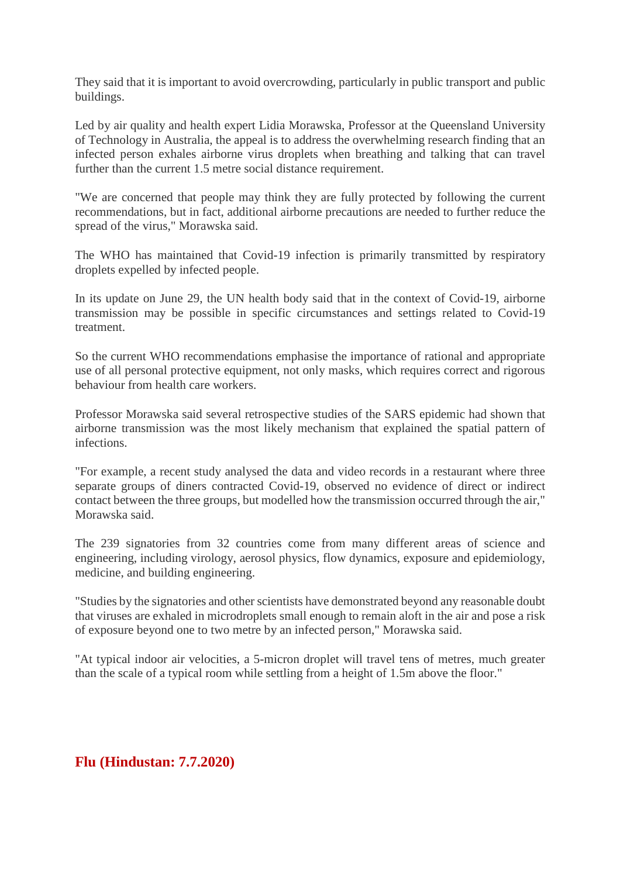They said that it is important to avoid overcrowding, particularly in public transport and public buildings.

Led by air quality and health expert Lidia Morawska, Professor at the Queensland University of Technology in Australia, the appeal is to address the overwhelming research finding that an infected person exhales airborne virus droplets when breathing and talking that can travel further than the current 1.5 metre social distance requirement.

"We are concerned that people may think they are fully protected by following the current recommendations, but in fact, additional airborne precautions are needed to further reduce the spread of the virus," Morawska said.

The WHO has maintained that Covid-19 infection is primarily transmitted by respiratory droplets expelled by infected people.

In its update on June 29, the UN health body said that in the context of Covid-19, airborne transmission may be possible in specific circumstances and settings related to Covid-19 treatment.

So the current WHO recommendations emphasise the importance of rational and appropriate use of all personal protective equipment, not only masks, which requires correct and rigorous behaviour from health care workers.

Professor Morawska said several retrospective studies of the SARS epidemic had shown that airborne transmission was the most likely mechanism that explained the spatial pattern of infections.

"For example, a recent study analysed the data and video records in a restaurant where three separate groups of diners contracted Covid-19, observed no evidence of direct or indirect contact between the three groups, but modelled how the transmission occurred through the air," Morawska said.

The 239 signatories from 32 countries come from many different areas of science and engineering, including virology, aerosol physics, flow dynamics, exposure and epidemiology, medicine, and building engineering.

"Studies by the signatories and other scientists have demonstrated beyond any reasonable doubt that viruses are exhaled in microdroplets small enough to remain aloft in the air and pose a risk of exposure beyond one to two metre by an infected person," Morawska said.

"At typical indoor air velocities, a 5-micron droplet will travel tens of metres, much greater than the scale of a typical room while settling from a height of 1.5m above the floor."

#### **Flu (Hindustan: 7.7.2020)**